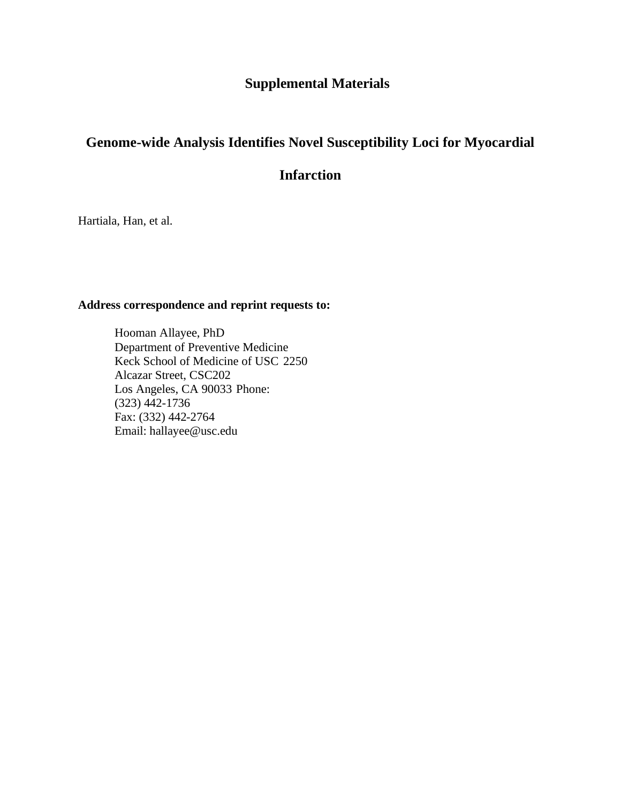# **Supplemental Materials**

# **Genome-wide Analysis Identifies Novel Susceptibility Loci for Myocardial**

# **Infarction**

Hartiala, Han, et al.

### **Address correspondence and reprint requests to:**

Hooman Allayee, PhD Department of Preventive Medicine Keck School of Medicine of USC 2250 Alcazar Street, CSC202 Los Angeles, CA 90033 Phone: (323) 442-1736 Fax: (332) 442-2764 Email: [hallayee@usc.edu](mailto:hallayee@usc.edu)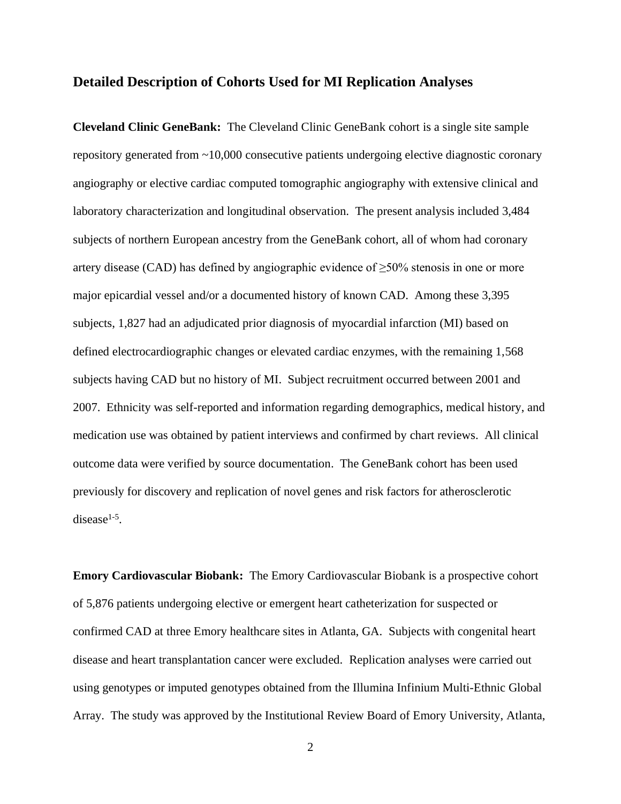### **Detailed Description of Cohorts Used for MI Replication Analyses**

**Cleveland Clinic GeneBank:** The Cleveland Clinic GeneBank cohort is a single site sample repository generated from ~10,000 consecutive patients undergoing elective diagnostic coronary angiography or elective cardiac computed tomographic angiography with extensive clinical and laboratory characterization and longitudinal observation. The present analysis included 3,484 subjects of northern European ancestry from the GeneBank cohort, all of whom had coronary artery disease (CAD) has defined by angiographic evidence of  $\geq$ 50% stenosis in one or more major epicardial vessel and/or a documented history of known CAD. Among these 3,395 subjects, 1,827 had an adjudicated prior diagnosis of myocardial infarction (MI) based on defined electrocardiographic changes or elevated cardiac enzymes, with the remaining 1,568 subjects having CAD but no history of MI. Subject recruitment occurred between 2001 and 2007. Ethnicity was self-reported and information regarding demographics, medical history, and medication use was obtained by patient interviews and confirmed by chart reviews. All clinical outcome data were verified by source documentation. The GeneBank cohort has been used previously for discovery and replication of novel genes and risk factors for atherosclerotic  $disease<sup>1-5</sup>$ .

**Emory Cardiovascular Biobank:** The Emory Cardiovascular Biobank is a prospective cohort of 5,876 patients undergoing elective or emergent heart catheterization for suspected or confirmed CAD at three Emory healthcare sites in Atlanta, GA. Subjects with congenital heart disease and heart transplantation cancer were excluded. Replication analyses were carried out using genotypes or imputed genotypes obtained from the Illumina Infinium Multi-Ethnic Global Array. The study was approved by the Institutional Review Board of Emory University, Atlanta,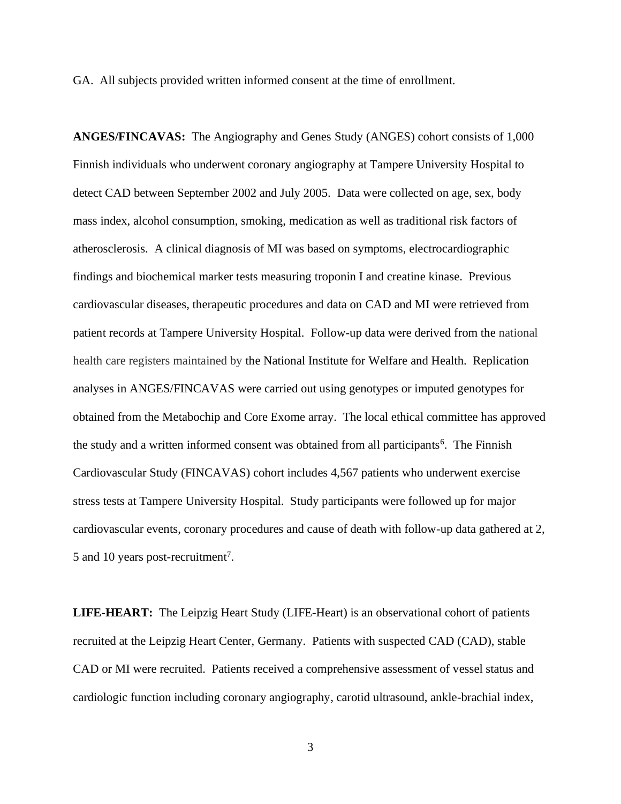GA. All subjects provided written informed consent at the time of enrollment.

**ANGES/FINCAVAS:** The Angiography and Genes Study (ANGES) cohort consists of 1,000 Finnish individuals who underwent coronary angiography at Tampere University Hospital to detect CAD between September 2002 and July 2005. Data were collected on age, sex, body mass index, alcohol consumption, smoking, medication as well as traditional risk factors of atherosclerosis. A clinical diagnosis of MI was based on symptoms, electrocardiographic findings and biochemical marker tests measuring troponin I and creatine kinase. Previous cardiovascular diseases, therapeutic procedures and data on CAD and MI were retrieved from patient records at Tampere University Hospital. Follow-up data were derived from the national health care registers maintained by the National Institute for Welfare and Health. Replication analyses in ANGES/FINCAVAS were carried out using genotypes or imputed genotypes for obtained from the Metabochip and Core Exome array. The local ethical committee has approved the study and a written informed consent was obtained from all participants<sup>6</sup>. The Finnish Cardiovascular Study (FINCAVAS) cohort includes 4,567 patients who underwent exercise stress tests at Tampere University Hospital. Study participants were followed up for major cardiovascular events, coronary procedures and cause of death with follow-up data gathered at 2, 5 and 10 years post-recruitment<sup>7</sup>.

**LIFE-HEART:** The Leipzig Heart Study (LIFE-Heart) is an observational cohort of patients recruited at the Leipzig Heart Center, Germany. Patients with suspected CAD (CAD), stable CAD or MI were recruited. Patients received a comprehensive assessment of vessel status and cardiologic function including coronary angiography, carotid ultrasound, ankle-brachial index,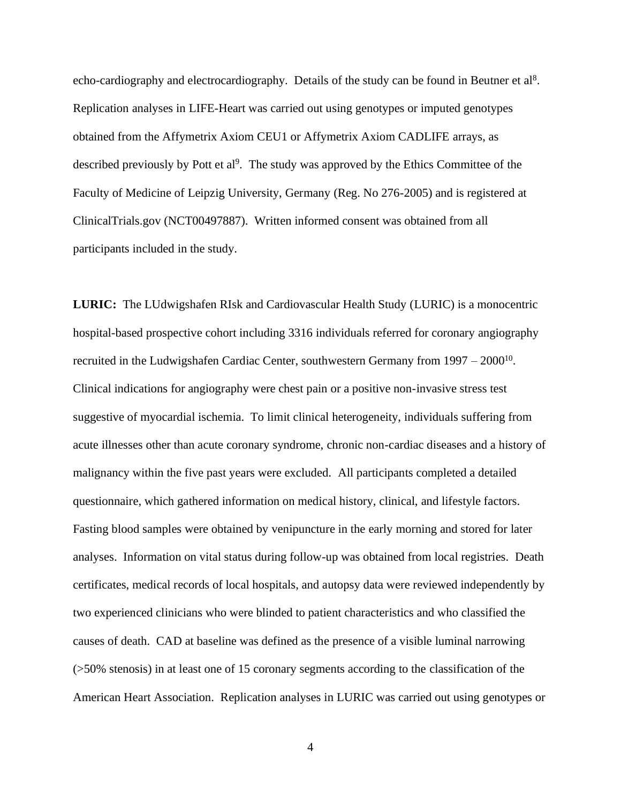echo-cardiography and electrocardiography. Details of the study can be found in Beutner et al<sup>8</sup>. Replication analyses in LIFE-Heart was carried out using genotypes or imputed genotypes obtained from the Affymetrix Axiom CEU1 or Affymetrix Axiom CADLIFE arrays, as described previously by Pott et al<sup>9</sup>. The study was approved by the Ethics Committee of the Faculty of Medicine of Leipzig University, Germany (Reg. No 276-2005) and is registered at ClinicalTrials.gov (NCT00497887). Written informed consent was obtained from all participants included in the study.

**LURIC:** The LUdwigshafen RIsk and Cardiovascular Health Study (LURIC) is a monocentric hospital-based prospective cohort including 3316 individuals referred for coronary angiography recruited in the Ludwigshafen Cardiac Center, southwestern Germany from 1997 - 2000<sup>10</sup>. Clinical indications for angiography were chest pain or a positive non-invasive stress test suggestive of myocardial ischemia. To limit clinical heterogeneity, individuals suffering from acute illnesses other than acute coronary syndrome, chronic non-cardiac diseases and a history of malignancy within the five past years were excluded. All participants completed a detailed questionnaire, which gathered information on medical history, clinical, and lifestyle factors. Fasting blood samples were obtained by venipuncture in the early morning and stored for later analyses. Information on vital status during follow-up was obtained from local registries. Death certificates, medical records of local hospitals, and autopsy data were reviewed independently by two experienced clinicians who were blinded to patient characteristics and who classified the causes of death. CAD at baseline was defined as the presence of a visible luminal narrowing (>50% stenosis) in at least one of 15 coronary segments according to the classification of the American Heart Association. Replication analyses in LURIC was carried out using genotypes or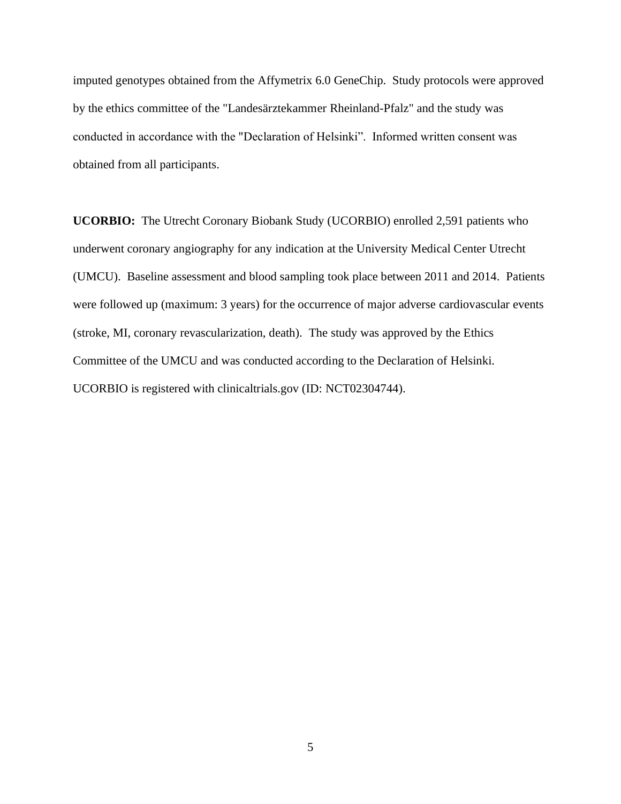imputed genotypes obtained from the Affymetrix 6.0 GeneChip. Study protocols were approved by the ethics committee of the "Landesärztekammer Rheinland-Pfalz" and the study was conducted in accordance with the "Declaration of Helsinki". Informed written consent was obtained from all participants.

**UCORBIO:** The Utrecht Coronary Biobank Study (UCORBIO) enrolled 2,591 patients who underwent coronary angiography for any indication at the University Medical Center Utrecht (UMCU). Baseline assessment and blood sampling took place between 2011 and 2014. Patients were followed up (maximum: 3 years) for the occurrence of major adverse cardiovascular events (stroke, MI, coronary revascularization, death). The study was approved by the Ethics Committee of the UMCU and was conducted according to the Declaration of Helsinki. UCORBIO is registered with clinicaltrials.gov (ID: NCT02304744).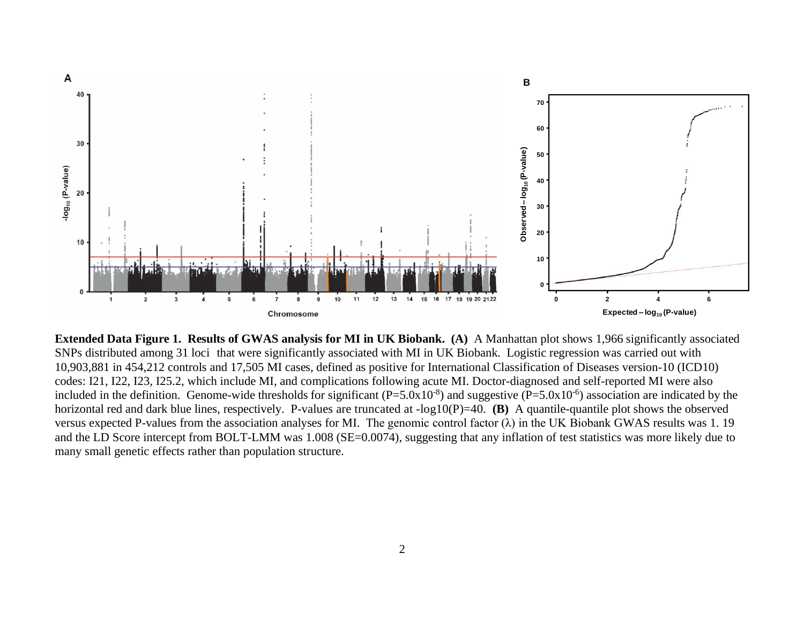

**Extended Data Figure 1. Results of GWAS analysis for MI in UK Biobank. (A)** A Manhattan plot shows 1,966 significantly associated SNPs distributed among 31 loci that were significantly associated with MI in UK Biobank. Logistic regression was carried out with 10,903,881 in 454,212 controls and 17,505 MI cases, defined as positive for International Classification of Diseases version-10 (ICD10) codes: I21, I22, I23, I25.2, which include MI, and complications following acute MI. Doctor-diagnosed and self-reported MI were also included in the definition. Genome-wide thresholds for significant  $(P=5.0x10^{-8})$  and suggestive  $(P=5.0x10^{-6})$  association are indicated by the horizontal red and dark blue lines, respectively. P-values are truncated at -log10(P)=40. **(B)** A quantile-quantile plot shows the observed versus expected P-values from the association analyses for MI. The genomic control factor (λ) in the UK Biobank GWAS results was 1. 19 and the LD Score intercept from BOLT-LMM was 1.008 (SE=0.0074), suggesting that any inflation of test statistics was more likely due to many small genetic effects rather than population structure.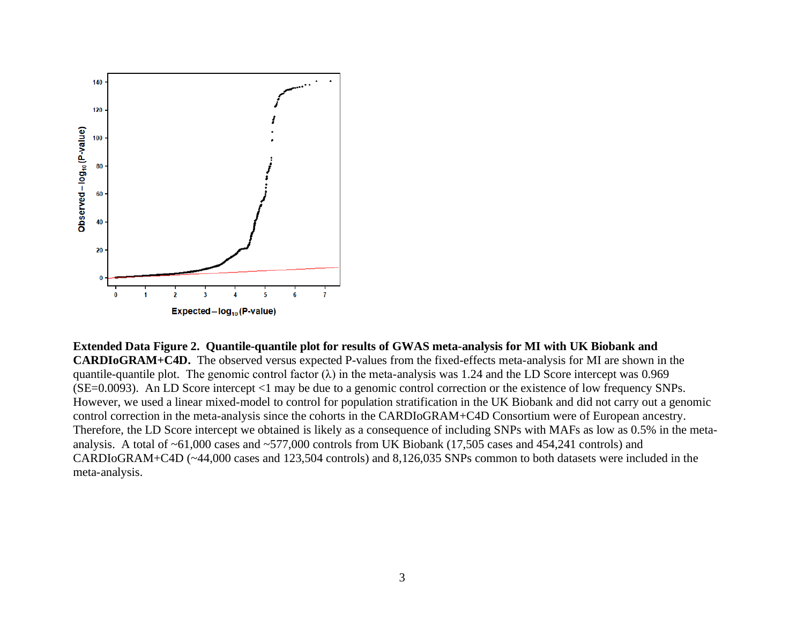

**Extended Data Figure 2. Quantile-quantile plot for results of GWAS meta-analysis for MI with UK Biobank and CARDIoGRAM+C4D.** The observed versus expected P-values from the fixed-effects meta-analysis for MI are shown in the quantile-quantile plot. The genomic control factor  $(\lambda)$  in the meta-analysis was 1.24 and the LD Score intercept was 0.969 (SE=0.0093). An LD Score intercept <1 may be due to a genomic control correction or the existence of low frequency SNPs. However, we used a linear mixed-model to control for population stratification in the UK Biobank and did not carry out a genomic control correction in the meta-analysis since the cohorts in the CARDIoGRAM+C4D Consortium were of European ancestry. Therefore, the LD Score intercept we obtained is likely as a consequence of including SNPs with MAFs as low as 0.5% in the metaanalysis. A total of ~61,000 cases and ~577,000 controls from UK Biobank (17,505 cases and 454,241 controls) and CARDIoGRAM+C4D (~44,000 cases and 123,504 controls) and 8,126,035 SNPs common to both datasets were included in the meta-analysis.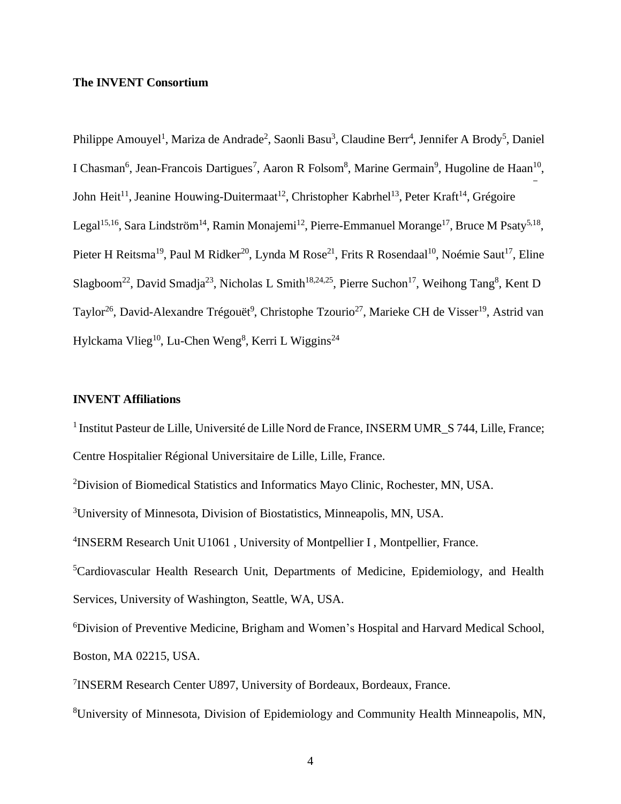### **The INVENT Consortium**

Philippe Amouyel<sup>1</sup>, Mariza de Andrade<sup>2</sup>, Saonli Basu<sup>3</sup>, Claudine Berr<sup>4</sup>, Jennifer A Brody<sup>5</sup>, Daniel I Chasman<sup>6</sup>, Jean-Francois Dartigues<sup>7</sup>, Aaron R Folsom<sup>8</sup>, Marine Germain<sup>9</sup>, Hugoline de Haan<sup>10</sup>, John Heit<sup>11</sup>, Jeanine Houwing-Duitermaat<sup>12</sup>, Christopher Kabrhel<sup>13</sup>, Peter Kraft<sup>14</sup>, Grégoire Legal<sup>15,16</sup>, Sara Lindström<sup>14</sup>, Ramin Monajemi<sup>12</sup>, Pierre-Emmanuel Morange<sup>17</sup>, Bruce M Psaty<sup>5,18</sup>, Pieter H Reitsma<sup>19</sup>, Paul M Ridker<sup>20</sup>, Lynda M Rose<sup>21</sup>, Frits R Rosendaal<sup>10</sup>, Noémie Saut<sup>17</sup>, Eline Slagboom<sup>22</sup>, David Smadja<sup>23</sup>, Nicholas L Smith<sup>18,24,25</sup>, Pierre Suchon<sup>17</sup>, Weihong Tang<sup>8</sup>, Kent D Taylor<sup>26</sup>, David-Alexandre Trégouët<sup>9</sup>, Christophe Tzourio<sup>27</sup>, Marieke CH de Visser<sup>19</sup>, Astrid van Hylckama Vlieg $^{10}$ , Lu-Chen Weng $^8$ , Kerri L Wiggins $^{24}$ 

#### **INVENT Affiliations**

<sup>1</sup> Institut Pasteur de Lille, Université de Lille Nord de France, INSERM UMR\_S 744, Lille, France; Centre Hospitalier Régional Universitaire de Lille, Lille, France.

<sup>2</sup>Division of Biomedical Statistics and Informatics Mayo Clinic, Rochester, MN, USA.

<sup>3</sup>University of Minnesota, Division of Biostatistics, Minneapolis, MN, USA.

<sup>4</sup>INSERM Research Unit U1061, University of Montpellier I, Montpellier, France.

<sup>5</sup>Cardiovascular Health Research Unit, Departments of Medicine, Epidemiology, and Health Services, University of Washington, Seattle, WA, USA.

<sup>6</sup>Division of Preventive Medicine, Brigham and Women's Hospital and Harvard Medical School, Boston, MA 02215, USA.

<sup>7</sup>INSERM Research Center U897, University of Bordeaux, Bordeaux, France.

<sup>8</sup>University of Minnesota, Division of Epidemiology and Community Health Minneapolis, MN,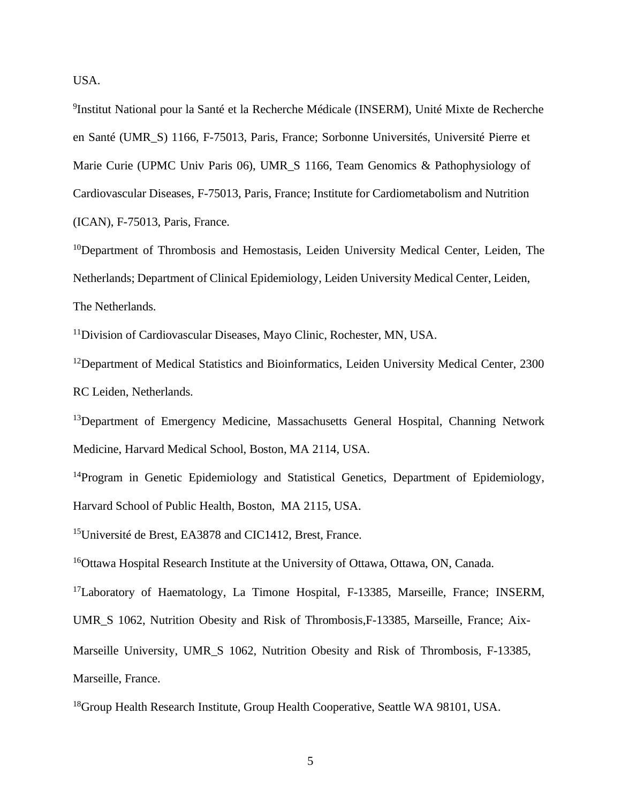USA.

<sup>9</sup>Institut National pour la Santé et la Recherche Médicale (INSERM), Unité Mixte de Recherche en Santé (UMR\_S) 1166, F-75013, Paris, France; Sorbonne Universités, Université Pierre et Marie Curie (UPMC Univ Paris 06), UMR\_S 1166, Team Genomics & Pathophysiology of Cardiovascular Diseases, F-75013, Paris, France; Institute for Cardiometabolism and Nutrition (ICAN), F-75013, Paris, France.

<sup>10</sup>Department of Thrombosis and Hemostasis, Leiden University Medical Center, Leiden, The Netherlands; Department of Clinical Epidemiology, Leiden University Medical Center, Leiden, The Netherlands.

<sup>11</sup>Division of Cardiovascular Diseases, Mayo Clinic, Rochester, MN, USA.

<sup>12</sup>Department of Medical Statistics and Bioinformatics, Leiden University Medical Center, 2300 RC Leiden, Netherlands.

<sup>13</sup>Department of Emergency Medicine, Massachusetts General Hospital, Channing Network Medicine, Harvard Medical School, Boston, MA 2114, USA.

<sup>14</sup>Program in Genetic Epidemiology and Statistical Genetics, Department of Epidemiology, Harvard School of Public Health, Boston, MA 2115, USA.

<sup>15</sup>Université de Brest, EA3878 and CIC1412, Brest, France.

<sup>16</sup>Ottawa Hospital Research Institute at the University of Ottawa, Ottawa, ON, Canada.

<sup>17</sup>Laboratory of Haematology, La Timone Hospital, F-13385, Marseille, France; INSERM,

UMR\_S 1062, Nutrition Obesity and Risk of Thrombosis,F-13385, Marseille, France; Aix-

Marseille University, UMR\_S 1062, Nutrition Obesity and Risk of Thrombosis, F-13385, Marseille, France.

<sup>18</sup>Group Health Research Institute, Group Health Cooperative, Seattle WA 98101, USA.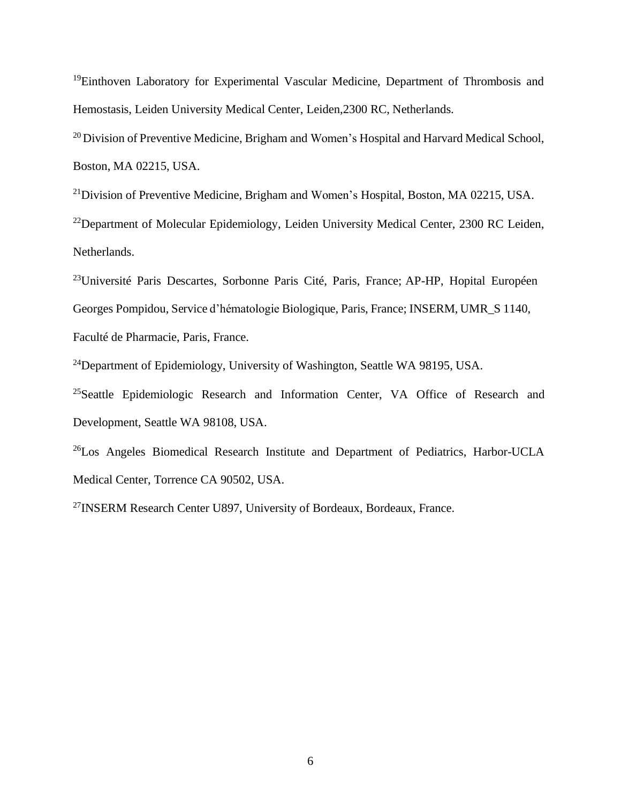<sup>19</sup>Einthoven Laboratory for Experimental Vascular Medicine, Department of Thrombosis and Hemostasis, Leiden University Medical Center, Leiden,2300 RC, Netherlands.

<sup>20</sup> Division of Preventive Medicine, Brigham and Women's Hospital and Harvard Medical School, Boston, MA 02215, USA.

 $^{21}$ Division of Preventive Medicine, Brigham and Women's Hospital, Boston, MA 02215, USA.

 $^{22}$ Department of Molecular Epidemiology, Leiden University Medical Center, 2300 RC Leiden, Netherlands.

<sup>23</sup>Université Paris Descartes, Sorbonne Paris Cité, Paris, France; AP-HP, Hopital Européen Georges Pompidou, Service d'hématologie Biologique, Paris, France; INSERM, UMR\_S 1140, Faculté de Pharmacie, Paris, France.

<sup>24</sup>Department of Epidemiology, University of Washington, Seattle WA 98195, USA.

<sup>25</sup>Seattle Epidemiologic Research and Information Center, VA Office of Research and Development, Seattle WA 98108, USA.

<sup>26</sup>Los Angeles Biomedical Research Institute and Department of Pediatrics, Harbor-UCLA Medical Center, Torrence CA 90502, USA.

<sup>27</sup>INSERM Research Center U897, University of Bordeaux, Bordeaux, France.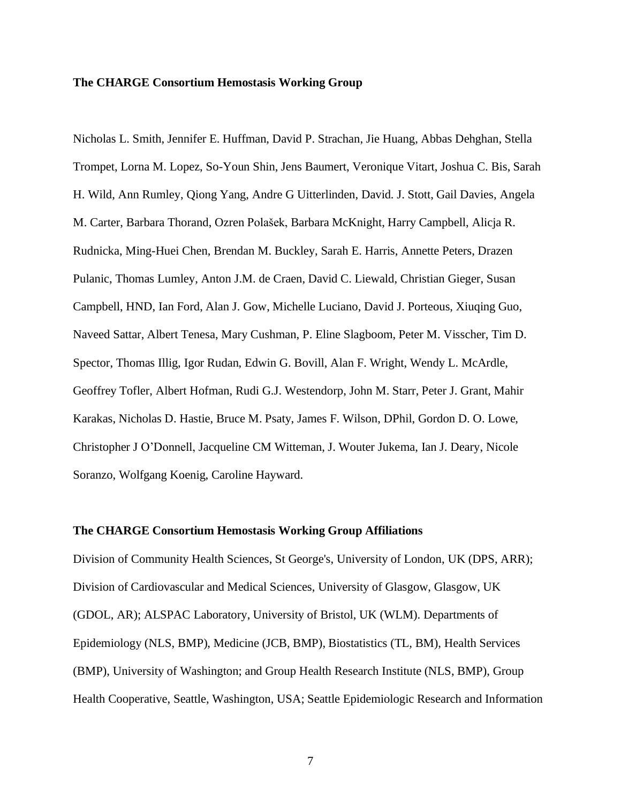#### **The CHARGE Consortium Hemostasis Working Group**

Nicholas L. Smith, Jennifer E. Huffman, David P. Strachan, Jie Huang, Abbas Dehghan, Stella Trompet, Lorna M. Lopez, So-Youn Shin, Jens Baumert, Veronique Vitart, Joshua C. Bis, Sarah H. Wild, Ann Rumley, Qiong Yang, Andre G Uitterlinden, David. J. Stott, Gail Davies, Angela M. Carter, Barbara Thorand, Ozren Polašek, Barbara McKnight, Harry Campbell, Alicja R. Rudnicka, Ming-Huei Chen, Brendan M. Buckley, Sarah E. Harris, Annette Peters, Drazen Pulanic, Thomas Lumley, Anton J.M. de Craen, David C. Liewald, Christian Gieger, Susan Campbell, HND, Ian Ford, Alan J. Gow, Michelle Luciano, David J. Porteous, Xiuqing Guo, Naveed Sattar, Albert Tenesa, Mary Cushman, P. Eline Slagboom, Peter M. Visscher, Tim D. Spector, Thomas Illig, Igor Rudan, Edwin G. Bovill, Alan F. Wright, Wendy L. McArdle, Geoffrey Tofler, Albert Hofman, Rudi G.J. Westendorp, John M. Starr, Peter J. Grant, Mahir Karakas, Nicholas D. Hastie, Bruce M. Psaty, James F. Wilson, DPhil, Gordon D. O. Lowe, Christopher J O'Donnell, Jacqueline CM Witteman, J. Wouter Jukema, Ian J. Deary, Nicole Soranzo, Wolfgang Koenig, Caroline Hayward.

#### **The CHARGE Consortium Hemostasis Working Group Affiliations**

Division of Community Health Sciences, St George's, University of London, UK (DPS, ARR); Division of Cardiovascular and Medical Sciences, University of Glasgow, Glasgow, UK (GDOL, AR); ALSPAC Laboratory, University of Bristol, UK (WLM). Departments of Epidemiology (NLS, BMP), Medicine (JCB, BMP), Biostatistics (TL, BM), Health Services (BMP), University of Washington; and Group Health Research Institute (NLS, BMP), Group Health Cooperative, Seattle, Washington, USA; Seattle Epidemiologic Research and Information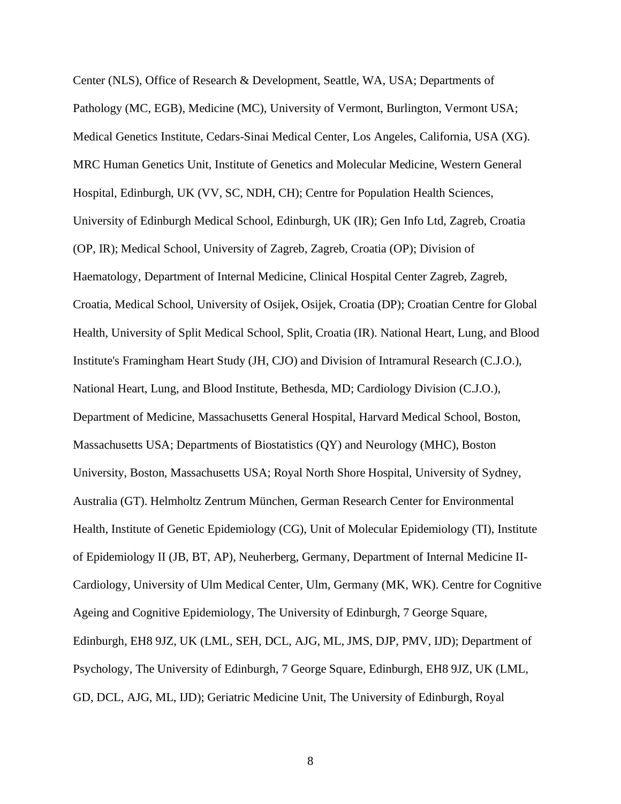Center (NLS), Office of Research & Development, Seattle, WA, USA; Departments of Pathology (MC, EGB), Medicine (MC), University of Vermont, Burlington, Vermont USA; Medical Genetics Institute, Cedars-Sinai Medical Center, Los Angeles, California, USA (XG). MRC Human Genetics Unit, Institute of Genetics and Molecular Medicine, Western General Hospital, Edinburgh, UK (VV, SC, NDH, CH); Centre for Population Health Sciences, University of Edinburgh Medical School, Edinburgh, UK (IR); Gen Info Ltd, Zagreb, Croatia (OP, IR); Medical School, University of Zagreb, Zagreb, Croatia (OP); Division of Haematology, Department of Internal Medicine, Clinical Hospital Center Zagreb, Zagreb, Croatia, Medical School, University of Osijek, Osijek, Croatia (DP); Croatian Centre for Global Health, University of Split Medical School, Split, Croatia (IR). National Heart, Lung, and Blood Institute's Framingham Heart Study (JH, CJO) and Division of Intramural Research (C.J.O.), National Heart, Lung, and Blood Institute, Bethesda, MD; Cardiology Division (C.J.O.), Department of Medicine, Massachusetts General Hospital, Harvard Medical School, Boston, Massachusetts USA; Departments of Biostatistics (QY) and Neurology (MHC), Boston University, Boston, Massachusetts USA; Royal North Shore Hospital, University of Sydney, Australia (GT). Helmholtz Zentrum München, German Research Center for Environmental Health, Institute of Genetic Epidemiology (CG), Unit of Molecular Epidemiology (TI), Institute of Epidemiology II (JB, BT, AP), Neuherberg, Germany, Department of Internal Medicine II-Cardiology, University of Ulm Medical Center, Ulm, Germany (MK, WK). Centre for Cognitive Ageing and Cognitive Epidemiology, The University of Edinburgh, 7 George Square, Edinburgh, EH8 9JZ, UK (LML, SEH, DCL, AJG, ML, JMS, DJP, PMV, IJD); Department of Psychology, The University of Edinburgh, 7 George Square, Edinburgh, EH8 9JZ, UK (LML, GD, DCL, AJG, ML, IJD); Geriatric Medicine Unit, The University of Edinburgh, Royal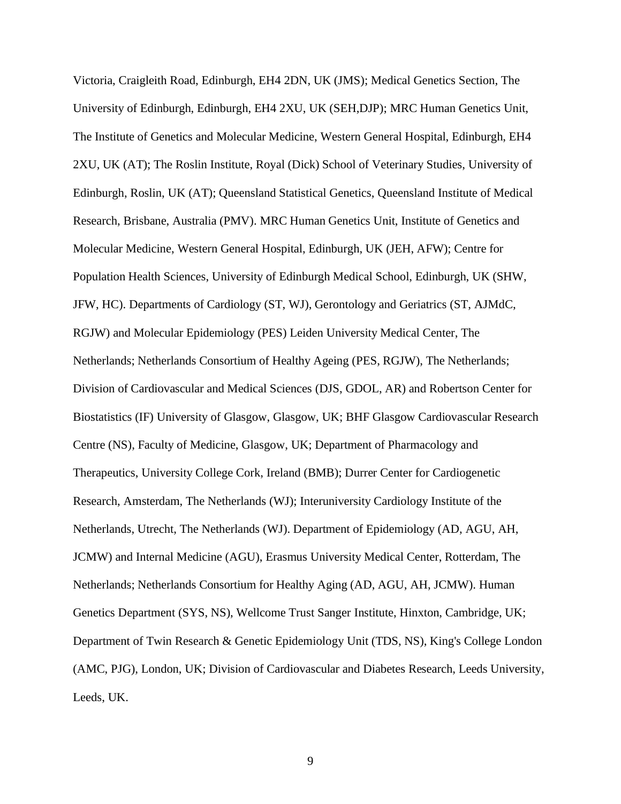Victoria, Craigleith Road, Edinburgh, EH4 2DN, UK (JMS); Medical Genetics Section, The University of Edinburgh, Edinburgh, EH4 2XU, UK (SEH,DJP); MRC Human Genetics Unit, The Institute of Genetics and Molecular Medicine, Western General Hospital, Edinburgh, EH4 2XU, UK (AT); The Roslin Institute, Royal (Dick) School of Veterinary Studies, University of Edinburgh, Roslin, UK (AT); Queensland Statistical Genetics, Queensland Institute of Medical Research, Brisbane, Australia (PMV). MRC Human Genetics Unit, Institute of Genetics and Molecular Medicine, Western General Hospital, Edinburgh, UK (JEH, AFW); Centre for Population Health Sciences, University of Edinburgh Medical School, Edinburgh, UK (SHW, JFW, HC). Departments of Cardiology (ST, WJ), Gerontology and Geriatrics (ST, AJMdC, RGJW) and Molecular Epidemiology (PES) Leiden University Medical Center, The Netherlands; Netherlands Consortium of Healthy Ageing (PES, RGJW), The Netherlands; Division of Cardiovascular and Medical Sciences (DJS, GDOL, AR) and Robertson Center for Biostatistics (IF) University of Glasgow, Glasgow, UK; BHF Glasgow Cardiovascular Research Centre (NS), Faculty of Medicine, Glasgow, UK; Department of Pharmacology and Therapeutics, University College Cork, Ireland (BMB); Durrer Center for Cardiogenetic Research, Amsterdam, The Netherlands (WJ); Interuniversity Cardiology Institute of the Netherlands, Utrecht, The Netherlands (WJ). Department of Epidemiology (AD, AGU, AH, JCMW) and Internal Medicine (AGU), Erasmus University Medical Center, Rotterdam, The Netherlands; Netherlands Consortium for Healthy Aging (AD, AGU, AH, JCMW). Human Genetics Department (SYS, NS), Wellcome Trust Sanger Institute, Hinxton, Cambridge, UK; Department of Twin Research & Genetic Epidemiology Unit (TDS, NS), King's College London (AMC, PJG), London, UK; Division of Cardiovascular and Diabetes Research, Leeds University, Leeds, UK.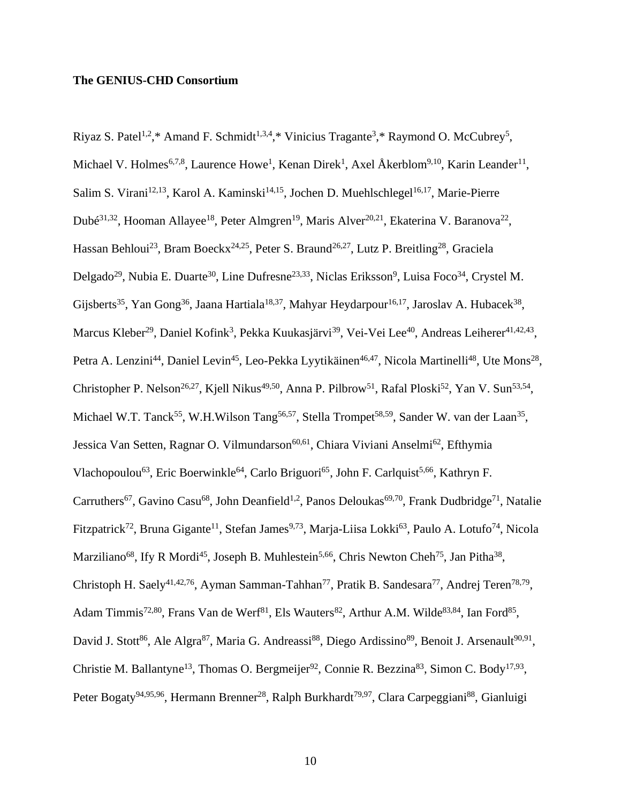#### **The GENIUS-CHD Consortium**

Riyaz S. Patel<sup>1,2</sup>,\* Amand F. Schmidt<sup>1,3,4</sup>,\* Vinicius Tragante<sup>3</sup>,\* Raymond O. McCubrey<sup>5</sup>, Michael V. Holmes<sup>6,7,8</sup>, Laurence Howe<sup>1</sup>, Kenan Direk<sup>1</sup>, Axel Åkerblom<sup>9,10</sup>, Karin Leander<sup>11</sup>, Salim S. Virani<sup>12,13</sup>, Karol A. Kaminski<sup>14,15</sup>, Jochen D. Muehlschlegel<sup>16,17</sup>, Marie-Pierre Dubé<sup>31,32</sup>, Hooman Allayee<sup>18</sup>, Peter Almgren<sup>19</sup>, Maris Alver<sup>20,21</sup>, Ekaterina V. Baranova<sup>22</sup>, Hassan Behloui<sup>23</sup>, Bram Boeckx<sup>24,25</sup>, Peter S. Braund<sup>26,27</sup>, Lutz P. Breitling<sup>28</sup>, Graciela Delgado<sup>29</sup>, Nubia E. Duarte<sup>30</sup>, Line Dufresne<sup>23,33</sup>, Niclas Eriksson<sup>9</sup>, Luisa Foco<sup>34</sup>, Crystel M. Gijsberts<sup>35</sup>, Yan Gong<sup>36</sup>, Jaana Hartiala<sup>18,37</sup>, Mahyar Heydarpour<sup>16,17</sup>, Jaroslav A. Hubacek<sup>38</sup>, Marcus Kleber<sup>29</sup>, Daniel Kofink<sup>3</sup>, Pekka Kuukasjärvi<sup>39</sup>, Vei-Vei Lee<sup>40</sup>, Andreas Leiherer<sup>41,42,43</sup>, Petra A. Lenzini<sup>44</sup>, Daniel Levin<sup>45</sup>, Leo-Pekka Lyytikäinen<sup>46,47</sup>, Nicola Martinelli<sup>48</sup>, Ute Mons<sup>28</sup>, Christopher P. Nelson<sup>26,27</sup>, Kjell Nikus<sup>49,50</sup>, Anna P. Pilbrow<sup>51</sup>, Rafal Ploski<sup>52</sup>, Yan V. Sun<sup>53,54</sup>, Michael W.T. Tanck<sup>55</sup>, W.H.Wilson Tang<sup>56,57</sup>, Stella Trompet<sup>58,59</sup>, Sander W. van der Laan<sup>35</sup>, Jessica Van Setten, Ragnar O. Vilmundarson<sup>60,61</sup>, Chiara Viviani Anselmi<sup>62</sup>, Efthymia Vlachopoulou<sup>63</sup>, Eric Boerwinkle<sup>64</sup>, Carlo Briguori<sup>65</sup>, John F. Carlquist<sup>5,66</sup>, Kathryn F. Carruthers<sup>67</sup>, Gavino Casu<sup>68</sup>, John Deanfield<sup>1,2</sup>, Panos Deloukas<sup>69,70</sup>, Frank Dudbridge<sup>71</sup>, Natalie Fitzpatrick<sup>72</sup>, Bruna Gigante<sup>11</sup>, Stefan James<sup>9,73</sup>, Marja-Liisa Lokki<sup>63</sup>, Paulo A. Lotufo<sup>74</sup>, Nicola Marziliano<sup>68</sup>, Ify R Mordi<sup>45</sup>, Joseph B. Muhlestein<sup>5,66</sup>, Chris Newton Cheh<sup>75</sup>, Jan Pitha<sup>38</sup>, Christoph H. Saely<sup>41,42,76</sup>, Ayman Samman-Tahhan<sup>77</sup>, Pratik B. Sandesara<sup>77</sup>, Andrej Teren<sup>78,79</sup>, Adam Timmis<sup>72,80</sup>, Frans Van de Werf<sup>81</sup>, Els Wauters<sup>82</sup>, Arthur A.M. Wilde<sup>83,84</sup>, Ian Ford<sup>85</sup>, David J. Stott<sup>86</sup>, Ale Algra<sup>87</sup>, Maria G. Andreassi<sup>88</sup>, Diego Ardissino<sup>89</sup>, Benoit J. Arsenault<sup>90,91</sup>, Christie M. Ballantyne<sup>13</sup>, Thomas O. Bergmeijer<sup>92</sup>, Connie R. Bezzina<sup>83</sup>, Simon C. Body<sup>17,93</sup>, Peter Bogaty<sup>94,95,96</sup>, Hermann Brenner<sup>28</sup>, Ralph Burkhardt<sup>79,97</sup>, Clara Carpeggiani<sup>88</sup>, Gianluigi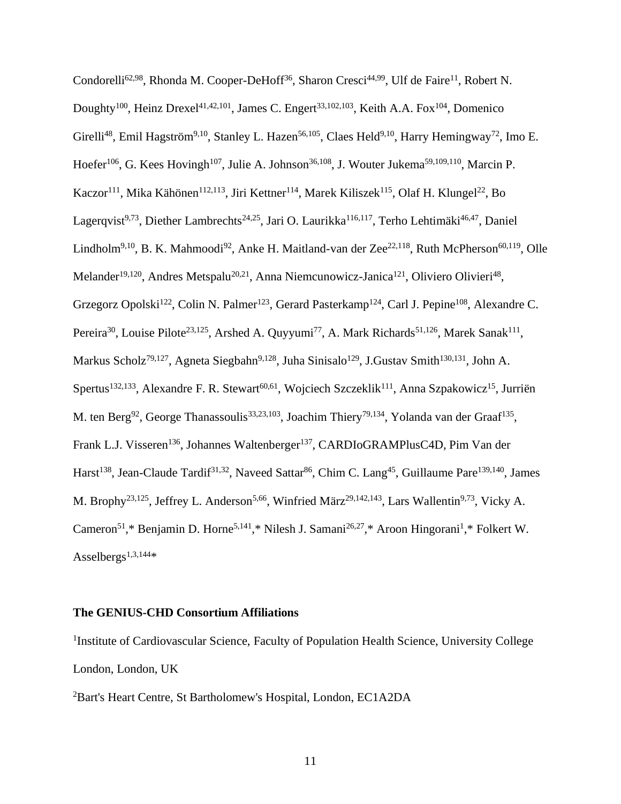Condorelli<sup>62,98</sup>, Rhonda M. Cooper-DeHoff<sup>36</sup>, Sharon Cresci<sup>44,99</sup>, Ulf de Faire<sup>11</sup>, Robert N. Doughty<sup>100</sup>, Heinz Drexel<sup>41,42,101</sup>, James C. Engert<sup>33,102,103</sup>, Keith A.A. Fox<sup>104</sup>, Domenico Girelli<sup>48</sup>, Emil Hagström<sup>9,10</sup>, Stanley L. Hazen<sup>56,105</sup>, Claes Held<sup>9,10</sup>, Harry Hemingway<sup>72</sup>, Imo E. Hoefer<sup>106</sup>, G. Kees Hovingh<sup>107</sup>, Julie A. Johnson<sup>36,108</sup>, J. Wouter Jukema<sup>59,109,110</sup>, Marcin P. Kaczor<sup>111</sup>, Mika Kähönen<sup>112,113</sup>, Jiri Kettner<sup>114</sup>, Marek Kiliszek<sup>115</sup>, Olaf H. Klungel<sup>22</sup>, Bo Lagerqvist<sup>9,73</sup>, Diether Lambrechts<sup>24,25</sup>, Jari O. Laurikka<sup>116,117</sup>, Terho Lehtimäki<sup>46,47</sup>, Daniel Lindholm<sup>9,10</sup>, B. K. Mahmoodi<sup>92</sup>, Anke H. Maitland-van der Zee<sup>22,118</sup>, Ruth McPherson<sup>60,119</sup>, Olle Melander<sup>19,120</sup>, Andres Metspalu<sup>20,21</sup>, Anna Niemcunowicz-Janica<sup>121</sup>, Oliviero Olivieri<sup>48</sup>, Grzegorz Opolski<sup>122</sup>, Colin N. Palmer<sup>123</sup>, Gerard Pasterkamp<sup>124</sup>, Carl J. Pepine<sup>108</sup>, Alexandre C. Pereira<sup>30</sup>, Louise Pilote<sup>23,125</sup>, Arshed A. Quyyumi<sup>77</sup>, A. Mark Richards<sup>51,126</sup>, Marek Sanak<sup>111</sup>, Markus Scholz<sup>79,127</sup>, Agneta Siegbahn<sup>9,128</sup>, Juha Sinisalo<sup>129</sup>, J.Gustav Smith<sup>130,131</sup>, John A. Spertus<sup>132,133</sup>, Alexandre F. R. Stewart<sup>60,61</sup>, Wojciech Szczeklik<sup>111</sup>, Anna Szpakowicz<sup>15</sup>, Jurriën M. ten Berg<sup>92</sup>, George Thanassoulis<sup>33,23,103</sup>, Joachim Thiery<sup>79,134</sup>, Yolanda van der Graaf<sup>135</sup>, Frank L.J. Visseren<sup>136</sup>, Johannes Waltenberger<sup>137</sup>, CARDIoGRAMPlusC4D, Pim Van der Harst<sup>138</sup>, Jean-Claude Tardif<sup>31,32</sup>, Naveed Sattar<sup>86</sup>, Chim C. Lang<sup>45</sup>, Guillaume Pare<sup>139,140</sup>, James M. Brophy<sup>23,125</sup>, Jeffrey L. Anderson<sup>5,66</sup>, Winfried März<sup>29,142,143</sup>, Lars Wallentin<sup>9,73</sup>, Vicky A. Cameron<sup>51</sup>,\* Benjamin D. Horne<sup>5,141</sup>,\* Nilesh J. Samani<sup>26,27</sup>,\* Aroon Hingorani<sup>1</sup>,\* Folkert W. Asselbergs<sup>1,3,144\*</sup>

#### **The GENIUS-CHD Consortium Affiliations**

<sup>1</sup>Institute of Cardiovascular Science, Faculty of Population Health Science, University College London, London, UK

2Bart's Heart Centre, St Bartholomew's Hospital, London, EC1A2DA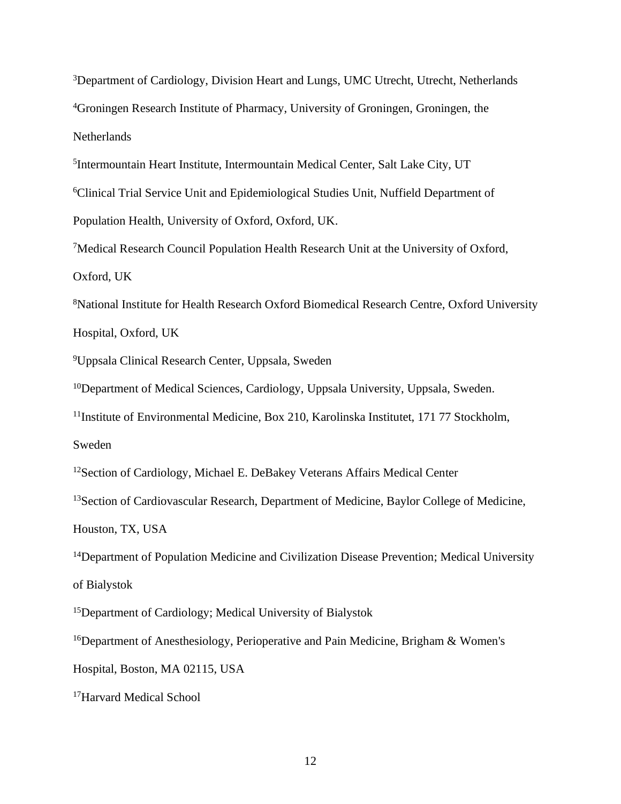<sup>3</sup>Department of Cardiology, Division Heart and Lungs, UMC Utrecht, Utrecht, Netherlands <sup>4</sup>Groningen Research Institute of Pharmacy, University of Groningen, Groningen, the **Netherlands** 

<sup>5</sup>Intermountain Heart Institute, Intermountain Medical Center, Salt Lake City, UT <sup>6</sup>Clinical Trial Service Unit and Epidemiological Studies Unit, Nuffield Department of Population Health, University of Oxford, Oxford, UK.

<sup>7</sup>Medical Research Council Population Health Research Unit at the University of Oxford, Oxford, UK

<sup>8</sup>National Institute for Health Research Oxford Biomedical Research Centre, Oxford University Hospital, Oxford, UK

<sup>9</sup>Uppsala Clinical Research Center, Uppsala, Sweden

<sup>10</sup>Department of Medical Sciences, Cardiology, Uppsala University, Uppsala, Sweden.

<sup>11</sup>Institute of Environmental Medicine, Box 210, Karolinska Institutet, 171 77 Stockholm, Sweden

<sup>12</sup>Section of Cardiology, Michael E. DeBakey Veterans Affairs Medical Center

<sup>13</sup>Section of Cardiovascular Research, Department of Medicine, Baylor College of Medicine,

Houston, TX, USA

<sup>14</sup>Department of Population Medicine and Civilization Disease Prevention; Medical University of Bialystok

<sup>15</sup>Department of Cardiology; Medical University of Bialystok

<sup>16</sup>Department of Anesthesiology, Perioperative and Pain Medicine, Brigham & Women's

Hospital, Boston, MA 02115, USA

17Harvard Medical School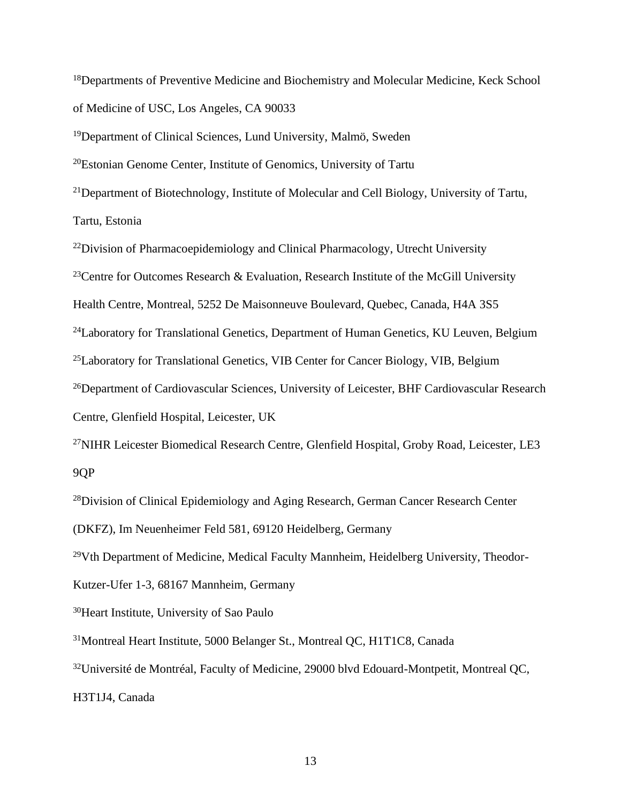<sup>18</sup>Departments of Preventive Medicine and Biochemistry and Molecular Medicine, Keck School of Medicine of USC, Los Angeles, CA 90033

<sup>19</sup>Department of Clinical Sciences, Lund University, Malmö, Sweden

<sup>20</sup>Estonian Genome Center, Institute of Genomics, University of Tartu

<sup>21</sup>Department of Biotechnology, Institute of Molecular and Cell Biology, University of Tartu, Tartu, Estonia

 $22$ Division of Pharmacoepidemiology and Clinical Pharmacology, Utrecht University

<sup>23</sup>Centre for Outcomes Research & Evaluation, Research Institute of the McGill University

Health Centre, Montreal, 5252 De Maisonneuve Boulevard, Quebec, Canada, H4A 3S5

<sup>24</sup>Laboratory for Translational Genetics, Department of Human Genetics, KU Leuven, Belgium

<sup>25</sup>Laboratory for Translational Genetics, VIB Center for Cancer Biology, VIB, Belgium

<sup>26</sup>Department of Cardiovascular Sciences, University of Leicester, BHF Cardiovascular Research

Centre, Glenfield Hospital, Leicester, UK

<sup>27</sup>NIHR Leicester Biomedical Research Centre, Glenfield Hospital, Groby Road, Leicester, LE3 9QP

<sup>28</sup>Division of Clinical Epidemiology and Aging Research, German Cancer Research Center (DKFZ), Im Neuenheimer Feld 581, 69120 Heidelberg, Germany

<sup>29</sup>Vth Department of Medicine, Medical Faculty Mannheim, Heidelberg University, Theodor-

Kutzer-Ufer 1-3, 68167 Mannheim, Germany

<sup>30</sup>Heart Institute, University of Sao Paulo

<sup>31</sup>Montreal Heart Institute, 5000 Belanger St., Montreal QC, H1T1C8, Canada

<sup>32</sup>Université de Montréal, Faculty of Medicine, 29000 blvd Edouard-Montpetit, Montreal QC, H3T1J4, Canada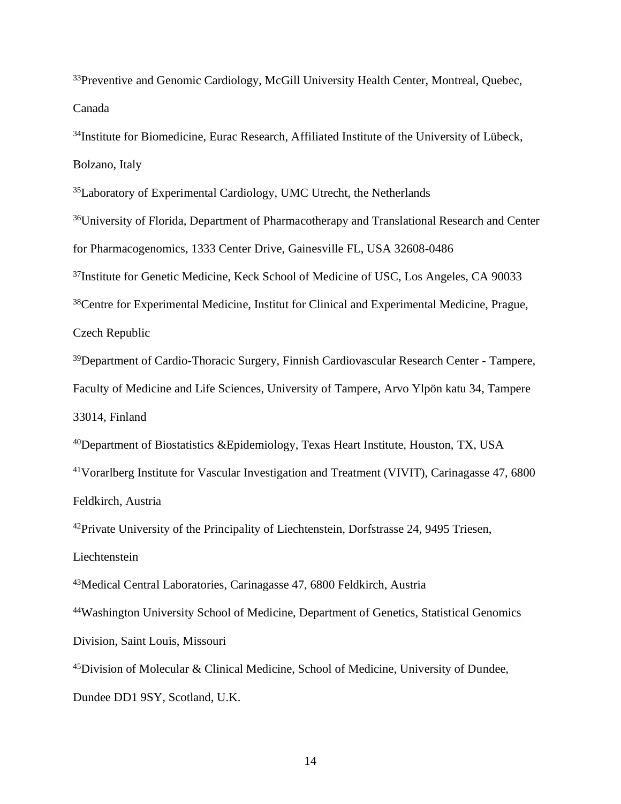<sup>33</sup>Preventive and Genomic Cardiology, McGill University Health Center, Montreal, Quebec, Canada

<sup>34</sup>Institute for Biomedicine, Eurac Research, Affiliated Institute of the University of Lübeck, Bolzano, Italy

<sup>35</sup>Laboratory of Experimental Cardiology, UMC Utrecht, the Netherlands

<sup>36</sup>University of Florida, Department of Pharmacotherapy and Translational Research and Center for Pharmacogenomics, 1333 Center Drive, Gainesville FL, USA 32608-0486

<sup>37</sup>Institute for Genetic Medicine, Keck School of Medicine of USC, Los Angeles, CA 90033

<sup>38</sup>Centre for Experimental Medicine, Institut for Clinical and Experimental Medicine, Prague, Czech Republic

<sup>39</sup>Department of Cardio-Thoracic Surgery, Finnish Cardiovascular Research Center - Tampere, Faculty of Medicine and Life Sciences, University of Tampere, Arvo Ylpön katu 34, Tampere 33014, Finland

<sup>40</sup>Department of Biostatistics &Epidemiology, Texas Heart Institute, Houston, TX, USA <sup>41</sup>Vorarlberg Institute for Vascular Investigation and Treatment (VIVIT), Carinagasse 47, 6800 Feldkirch, Austria

<sup>42</sup>Private University of the Principality of Liechtenstein, Dorfstrasse 24, 9495 Triesen, Liechtenstein

<sup>43</sup>Medical Central Laboratories, Carinagasse 47, 6800 Feldkirch, Austria <sup>44</sup>Washington University School of Medicine, Department of Genetics, Statistical Genomics Division, Saint Louis, Missouri

<sup>45</sup>Division of Molecular & Clinical Medicine, School of Medicine, University of Dundee, Dundee DD1 9SY, Scotland, U.K.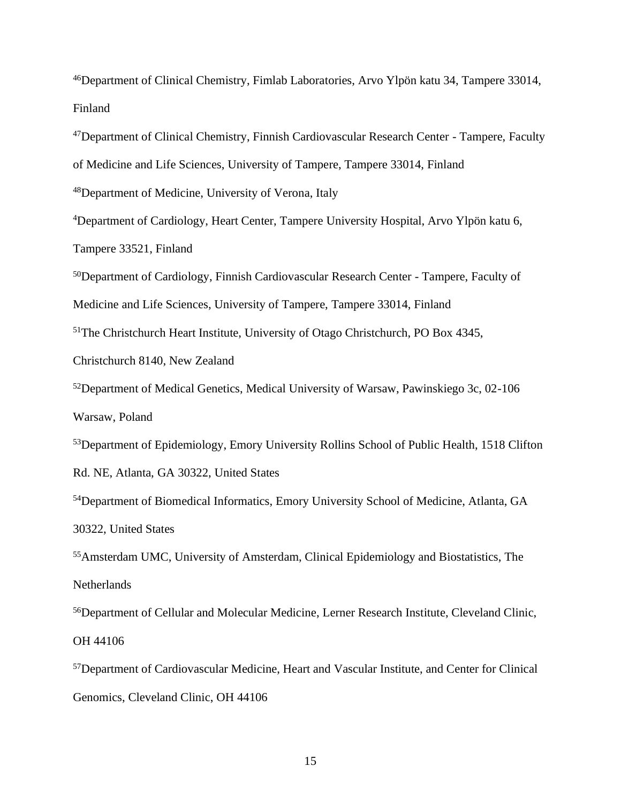<sup>46</sup>Department of Clinical Chemistry, Fimlab Laboratories, Arvo Ylpön katu 34, Tampere 33014, Finland

<sup>47</sup>Department of Clinical Chemistry, Finnish Cardiovascular Research Center - Tampere, Faculty

of Medicine and Life Sciences, University of Tampere, Tampere 33014, Finland

<sup>48</sup>Department of Medicine, University of Verona, Italy

<sup>4</sup>Department of Cardiology, Heart Center, Tampere University Hospital, Arvo Ylpön katu 6, Tampere 33521, Finland

<sup>50</sup>Department of Cardiology, Finnish Cardiovascular Research Center - Tampere, Faculty of Medicine and Life Sciences, University of Tampere, Tampere 33014, Finland

<sup>51</sup>The Christchurch Heart Institute, University of Otago Christchurch, PO Box 4345,

Christchurch 8140, New Zealand

<sup>52</sup>Department of Medical Genetics, Medical University of Warsaw, Pawinskiego 3c, 02-106 Warsaw, Poland

<sup>53</sup>Department of Epidemiology, Emory University Rollins School of Public Health, 1518 Clifton Rd. NE, Atlanta, GA 30322, United States

<sup>54</sup>Department of Biomedical Informatics, Emory University School of Medicine, Atlanta, GA 30322, United States

<sup>55</sup>Amsterdam UMC, University of Amsterdam, Clinical Epidemiology and Biostatistics, The Netherlands

<sup>56</sup>Department of Cellular and Molecular Medicine, Lerner Research Institute, Cleveland Clinic, OH 44106

<sup>57</sup>Department of Cardiovascular Medicine, Heart and Vascular Institute, and Center for Clinical Genomics, Cleveland Clinic, OH 44106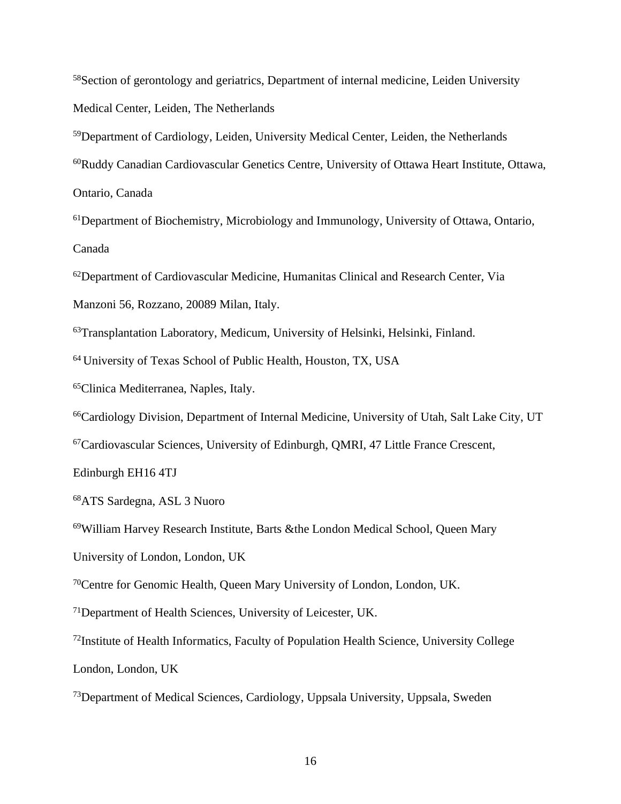Section of gerontology and geriatrics, Department of internal medicine, Leiden University Medical Center, Leiden, The Netherlands

Department of Cardiology, Leiden, University Medical Center, Leiden, the Netherlands Ruddy Canadian Cardiovascular Genetics Centre, University of Ottawa Heart Institute, Ottawa, Ontario, Canada

Department of Biochemistry, Microbiology and Immunology, University of Ottawa, Ontario, Canada

Department of Cardiovascular Medicine, Humanitas Clinical and Research Center, Via Manzoni 56, Rozzano, 20089 Milan, Italy.

Transplantation Laboratory, Medicum, University of Helsinki, Helsinki, Finland.

University of Texas School of Public Health, Houston, TX, USA

Clinica Mediterranea, Naples, Italy.

Cardiology Division, Department of Internal Medicine, University of Utah, Salt Lake City, UT

Cardiovascular Sciences, University of Edinburgh, QMRI, 47 Little France Crescent,

Edinburgh EH16 4TJ

ATS Sardegna, ASL 3 Nuoro

William Harvey Research Institute, Barts &the London Medical School, Queen Mary

University of London, London, UK

Centre for Genomic Health, Queen Mary University of London, London, UK.

Department of Health Sciences, University of Leicester, UK.

Institute of Health Informatics, Faculty of Population Health Science, University College London, London, UK

<sup>73</sup>Department of Medical Sciences, Cardiology, Uppsala University, Uppsala, Sweden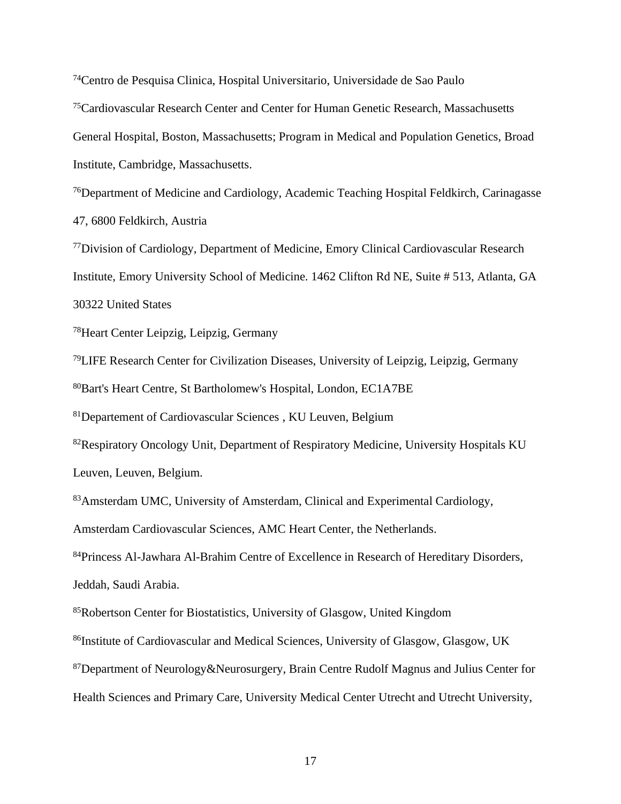<sup>74</sup>Centro de Pesquisa Clinica, Hospital Universitario, Universidade de Sao Paulo <sup>75</sup>Cardiovascular Research Center and Center for Human Genetic Research, Massachusetts General Hospital, Boston, Massachusetts; Program in Medical and Population Genetics, Broad Institute, Cambridge, Massachusetts.

<sup>76</sup>Department of Medicine and Cardiology, Academic Teaching Hospital Feldkirch, Carinagasse 47, 6800 Feldkirch, Austria

<sup>77</sup>Division of Cardiology, Department of Medicine, Emory Clinical Cardiovascular Research Institute, Emory University School of Medicine. 1462 Clifton Rd NE, Suite # 513, Atlanta, GA 30322 United States

<sup>78</sup>Heart Center Leipzig, Leipzig, Germany

<sup>79</sup>LIFE Research Center for Civilization Diseases, University of Leipzig, Leipzig, Germany

<sup>80</sup>Bart's Heart Centre, St Bartholomew's Hospital, London, EC1A7BE

<sup>81</sup>Departement of Cardiovascular Sciences , KU Leuven, Belgium

82Respiratory Oncology Unit, Department of Respiratory Medicine, University Hospitals KU Leuven, Leuven, Belgium.

<sup>83</sup>Amsterdam UMC, University of Amsterdam, Clinical and Experimental Cardiology,

Amsterdam Cardiovascular Sciences, AMC Heart Center, the Netherlands.

<sup>84</sup>Princess Al-Jawhara Al-Brahim Centre of Excellence in Research of Hereditary Disorders, Jeddah, Saudi Arabia.

<sup>85</sup>Robertson Center for Biostatistics, University of Glasgow, United Kingdom

<sup>86</sup>Institute of Cardiovascular and Medical Sciences, University of Glasgow, Glasgow, UK

<sup>87</sup>Department of Neurology&Neurosurgery, Brain Centre Rudolf Magnus and Julius Center for

Health Sciences and Primary Care, University Medical Center Utrecht and Utrecht University,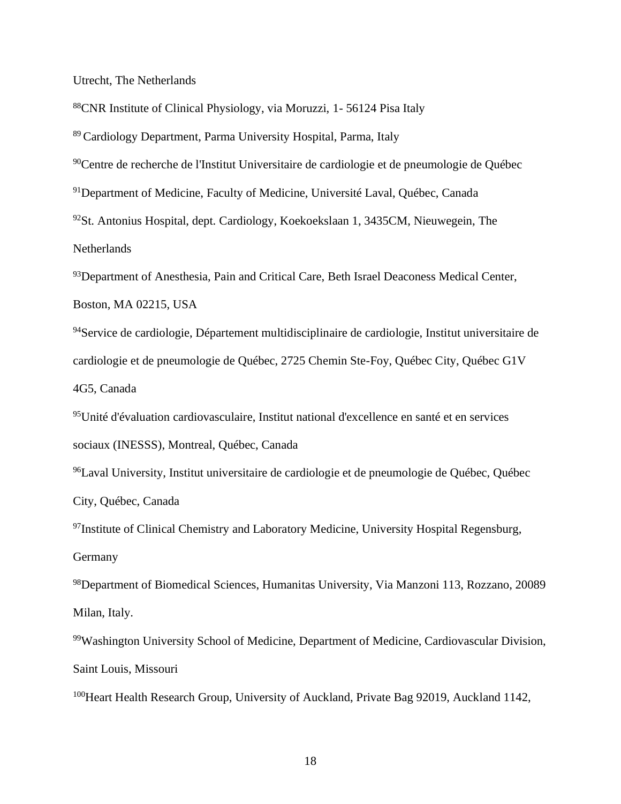Utrecht, The Netherlands

<sup>88</sup>CNR Institute of Clinical Physiology, via Moruzzi, 1- 56124 Pisa Italy

<sup>89</sup>Cardiology Department, Parma University Hospital, Parma, Italy

<sup>90</sup>Centre de recherche de l'Institut Universitaire de cardiologie et de pneumologie de Québec

<sup>91</sup>Department of Medicine, Faculty of Medicine, Université Laval, Québec, Canada

<sup>92</sup>St. Antonius Hospital, dept. Cardiology, Koekoekslaan 1, 3435CM, Nieuwegein, The **Netherlands** 

<sup>93</sup>Department of Anesthesia, Pain and Critical Care, Beth Israel Deaconess Medical Center, Boston, MA 02215, USA

<sup>94</sup>Service de cardiologie, Département multidisciplinaire de cardiologie, Institut universitaire de cardiologie et de pneumologie de Québec, 2725 Chemin Ste-Foy, Québec City, Québec G1V 4G5, Canada

 $95$ Unité d'évaluation cardiovasculaire, Institut national d'excellence en santé et en services sociaux (INESSS), Montreal, Québec, Canada

<sup>96</sup>Laval University, Institut universitaire de cardiologie et de pneumologie de Québec, Québec City, Québec, Canada

<sup>97</sup>Institute of Clinical Chemistry and Laboratory Medicine, University Hospital Regensburg, **Germany** 

<sup>98</sup>Department of Biomedical Sciences, Humanitas University, Via Manzoni 113, Rozzano, 20089 Milan, Italy.

<sup>99</sup>Washington University School of Medicine, Department of Medicine, Cardiovascular Division, Saint Louis, Missouri

<sup>100</sup>Heart Health Research Group, University of Auckland, Private Bag 92019, Auckland 1142,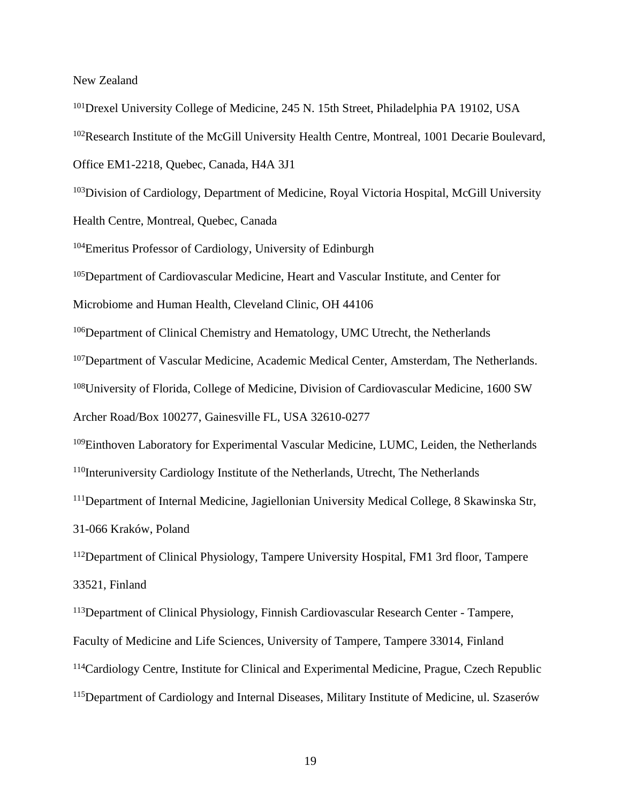New Zealand

<sup>101</sup>Drexel University College of Medicine, 245 N. 15th Street, Philadelphia PA 19102, USA <sup>102</sup>Research Institute of the McGill University Health Centre, Montreal, 1001 Decarie Boulevard,

Office EM1-2218, Quebec, Canada, H4A 3J1

<sup>103</sup>Division of Cardiology, Department of Medicine, Royal Victoria Hospital, McGill University

Health Centre, Montreal, Quebec, Canada

<sup>104</sup>Emeritus Professor of Cardiology, University of Edinburgh

<sup>105</sup>Department of Cardiovascular Medicine, Heart and Vascular Institute, and Center for

Microbiome and Human Health, Cleveland Clinic, OH 44106

<sup>106</sup>Department of Clinical Chemistry and Hematology, UMC Utrecht, the Netherlands

<sup>107</sup>Department of Vascular Medicine, Academic Medical Center, Amsterdam, The Netherlands.

<sup>108</sup>University of Florida, College of Medicine, Division of Cardiovascular Medicine, 1600 SW

Archer Road/Box 100277, Gainesville FL, USA 32610-0277

<sup>109</sup>Einthoven Laboratory for Experimental Vascular Medicine, LUMC, Leiden, the Netherlands <sup>110</sup>Interuniversity Cardiology Institute of the Netherlands, Utrecht, The Netherlands

<sup>111</sup>Department of Internal Medicine, Jagiellonian University Medical College, 8 Skawinska Str, 31-066 Kraków, Poland

<sup>112</sup>Department of Clinical Physiology, Tampere University Hospital, FM1 3rd floor, Tampere 33521, Finland

<sup>113</sup>Department of Clinical Physiology, Finnish Cardiovascular Research Center - Tampere, Faculty of Medicine and Life Sciences, University of Tampere, Tampere 33014, Finland <sup>114</sup>Cardiology Centre, Institute for Clinical and Experimental Medicine, Prague, Czech Republic <sup>115</sup>Department of Cardiology and Internal Diseases, Military Institute of Medicine, ul. Szaserów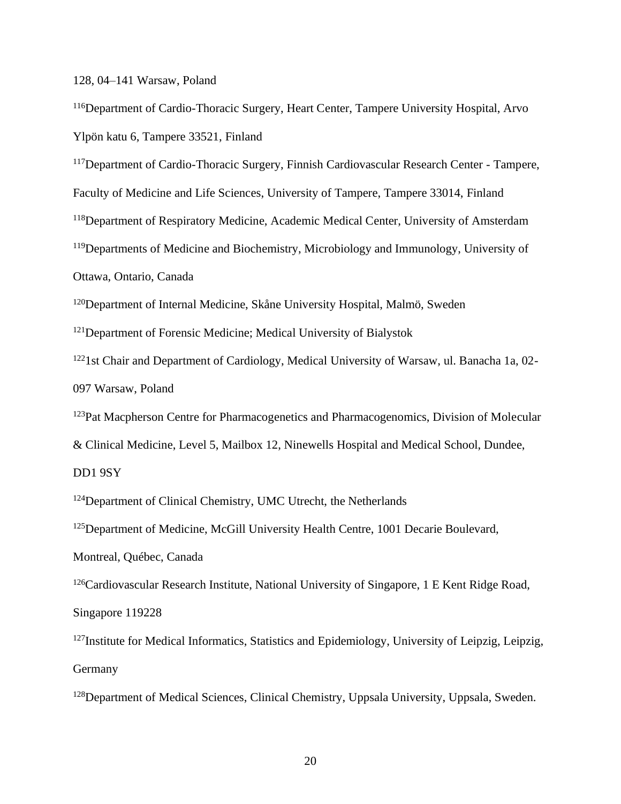128, 04–141 Warsaw, Poland

<sup>116</sup>Department of Cardio-Thoracic Surgery, Heart Center, Tampere University Hospital, Arvo Ylpön katu 6, Tampere 33521, Finland

<sup>117</sup>Department of Cardio-Thoracic Surgery, Finnish Cardiovascular Research Center - Tampere,

Faculty of Medicine and Life Sciences, University of Tampere, Tampere 33014, Finland

<sup>118</sup>Department of Respiratory Medicine, Academic Medical Center, University of Amsterdam

<sup>119</sup>Departments of Medicine and Biochemistry, Microbiology and Immunology, University of

Ottawa, Ontario, Canada

<sup>120</sup>Department of Internal Medicine, Skåne University Hospital, Malmö, Sweden

<sup>121</sup>Department of Forensic Medicine; Medical University of Bialystok

<sup>122</sup>1st Chair and Department of Cardiology, Medical University of Warsaw, ul. Banacha 1a, 02-097 Warsaw, Poland

<sup>123</sup>Pat Macpherson Centre for Pharmacogenetics and Pharmacogenomics, Division of Molecular

& Clinical Medicine, Level 5, Mailbox 12, Ninewells Hospital and Medical School, Dundee,

DD1 9SY

<sup>124</sup>Department of Clinical Chemistry, UMC Utrecht, the Netherlands

<sup>125</sup>Department of Medicine, McGill University Health Centre, 1001 Decarie Boulevard,

Montreal, Québec, Canada

<sup>126</sup>Cardiovascular Research Institute, National University of Singapore, 1 E Kent Ridge Road,

Singapore 119228

<sup>127</sup>Institute for Medical Informatics, Statistics and Epidemiology, University of Leipzig, Leipzig, Germany

<sup>128</sup>Department of Medical Sciences, Clinical Chemistry, Uppsala University, Uppsala, Sweden.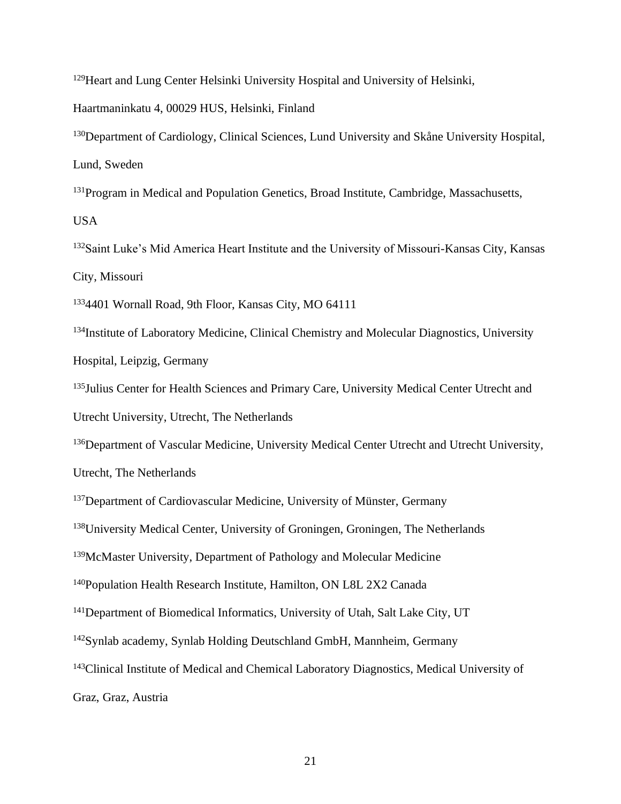<sup>129</sup>Heart and Lung Center Helsinki University Hospital and University of Helsinki,

Haartmaninkatu 4, 00029 HUS, Helsinki, Finland

<sup>130</sup>Department of Cardiology, Clinical Sciences, Lund University and Skåne University Hospital, Lund, Sweden

<sup>131</sup>Program in Medical and Population Genetics, Broad Institute, Cambridge, Massachusetts,

USA

<sup>132</sup>Saint Luke's Mid America Heart Institute and the University of Missouri-Kansas City, Kansas City, Missouri

<sup>133</sup>4401 Wornall Road, 9th Floor, Kansas City, MO 64111

<sup>134</sup>Institute of Laboratory Medicine, Clinical Chemistry and Molecular Diagnostics, University Hospital, Leipzig, Germany

<sup>135</sup>Julius Center for Health Sciences and Primary Care, University Medical Center Utrecht and Utrecht University, Utrecht, The Netherlands

136 Department of Vascular Medicine, University Medical Center Utrecht and Utrecht University, Utrecht, The Netherlands

<sup>137</sup>Department of Cardiovascular Medicine, University of Münster, Germany

<sup>138</sup>University Medical Center, University of Groningen, Groningen, The Netherlands

<sup>139</sup>McMaster University, Department of Pathology and Molecular Medicine

<sup>140</sup>Population Health Research Institute, Hamilton, ON L8L 2X2 Canada

<sup>141</sup>Department of Biomedical Informatics, University of Utah, Salt Lake City, UT

<sup>142</sup>Synlab academy, Synlab Holding Deutschland GmbH, Mannheim, Germany

<sup>143</sup>Clinical Institute of Medical and Chemical Laboratory Diagnostics, Medical University of

Graz, Graz, Austria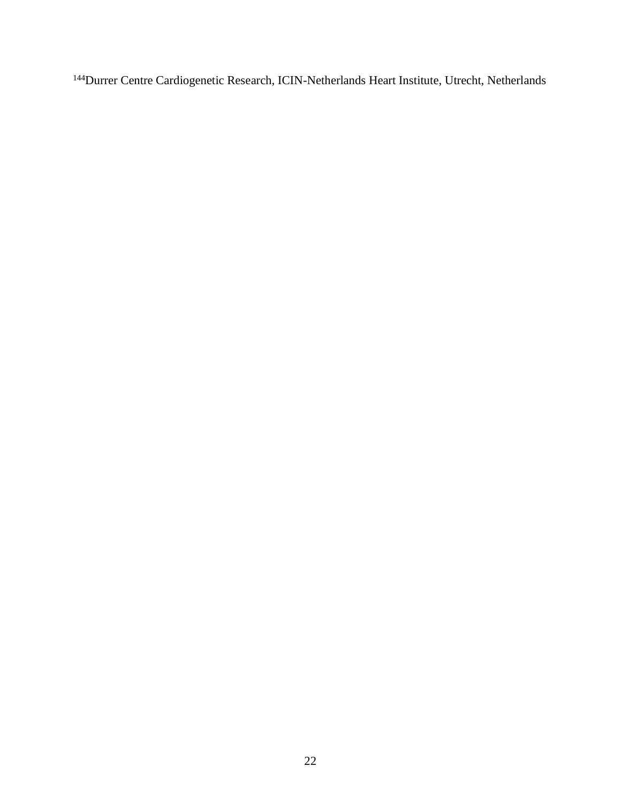Durrer Centre Cardiogenetic Research, ICIN-Netherlands Heart Institute, Utrecht, Netherlands